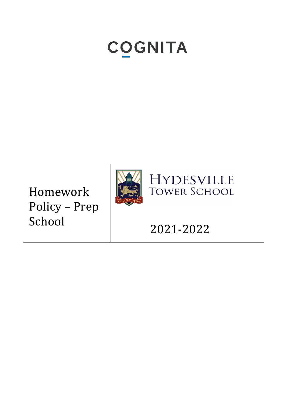# COGNITA

Homework Policy – Prep School



-2022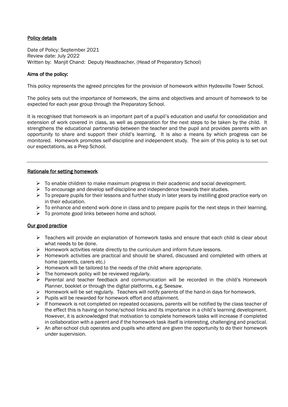#### Policy details

Date of Policy: September 2021 Review date: July 2022 Written by: Manjit Chand: Deputy Headteacher, (Head of Preparatory School)

#### Aims of the policy:

This policy represents the agreed principles for the provision of homework within Hydesville Tower School.

The policy sets out the importance of homework, the aims and objectives and amount of homework to be expected for each year group through the Preparatory School.

It is recognised that homework is an important part of a pupil's education and useful for consolidation and extension of work covered in class, as well as preparation for the next steps to be taken by the child. It strengthens the educational partnership between the teacher and the pupil and provides parents with an opportunity to share and support their child's learning. It is also a means by which progress can be monitored. Homework promotes self-discipline and independent study. The aim of this policy is to set out our expectations, as a Prep School.

#### Rationale for setting homework

- $\triangleright$  To enable children to make maximum progress in their academic and social development.
- $\triangleright$  To encourage and develop self-discipline and independence towards their studies.
- ➢ To prepare pupils for their lessons and further study in later years by instilling good practice early on in their education.
- $\triangleright$  To enhance and extend work done in class and to prepare pupils for the next steps in their learning.
- $\triangleright$  To promote good links between home and school.

#### Our good practice

- ➢ Teachers will provide an explanation of homework tasks and ensure that each child is clear about what needs to be done.
- $\triangleright$  Homework activities relate directly to the curriculum and inform future lessons.
- ➢ Homework activities are practical and should be shared, discussed and completed with others at home (parents, carers etc.)
- $\triangleright$  Homework will be tailored to the needs of the child where appropriate.
- $\triangleright$  The homework policy will be reviewed regularly.
- ➢ Parental and teacher feedback and communication will be recorded in the child's Homework Planner, booklet or through the digital platforms, e.g. Seesaw.
- $\triangleright$  Homework will be set regularly. Teachers will notify parents of the hand-in days for homework.
- ➢ Pupils will be rewarded for homework effort and attainment.
- $\triangleright$  If homework is not completed on repeated occasions, parents will be notified by the class teacher of the effect this is having on home/school links and its importance in a child's learning development. However, it is acknowledged that motivation to complete homework tasks will increase if completed in collaboration with a parent and if the homework task itself is interesting, challenging and practical.
- $\triangleright$  An after-school club operates and pupils who attend are given the opportunity to do their homework under supervision.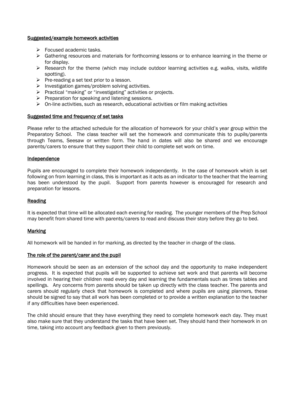#### Suggested/example homework activities

- ➢ Focused academic tasks.
- ➢ Gathering resources and materials for forthcoming lessons or to enhance learning in the theme or for display.
- $\triangleright$  Research for the theme (which may include outdoor learning activities e.g. walks, visits, wildlife spotting).
- $\triangleright$  Pre-reading a set text prior to a lesson.
- $\triangleright$  Investigation games/problem solving activities.
- ➢ Practical "making" or "investigating" activities or projects.
- $\triangleright$  Preparation for speaking and listening sessions.
- $\triangleright$  On-line activities, such as research, educational activities or film making activities

#### Suggested time and frequency of set tasks

Please refer to the attached schedule for the allocation of homework for your child's year group within the Preparatory School. The class teacher will set the homework and communicate this to pupils/parents through Teams, Seesaw or written form. The hand in dates will also be shared and we encourage parents/carers to ensure that they support their child to complete set work on time.

#### Independence

Pupils are encouraged to complete their homework independently. In the case of homework which is set following on from learning in class, this is important as it acts as an indicator to the teacher that the learning has been understood by the pupil. Support from parents however is encouraged for research and preparation for lessons.

#### Reading

It is expected that time will be allocated each evening for reading. The younger members of the Prep School may benefit from shared time with parents/carers to read and discuss their story before they go to bed.

#### Marking

All homework will be handed in for marking, as directed by the teacher in charge of the class.

#### The role of the parent/carer and the pupil

Homework should be seen as an extension of the school day and the opportunity to make independent progress. It is expected that pupils will be supported to achieve set work and that parents will become involved in hearing their children read every day and learning the fundamentals such as times tables and spellings. Any concerns from parents should be taken up directly with the class teacher. The parents and carers should regularly check that homework is completed and where pupils are using planners, these should be signed to say that all work has been completed or to provide a written explanation to the teacher if any difficulties have been experienced.

The child should ensure that they have everything they need to complete homework each day. They must also make sure that they understand the tasks that have been set. They should hand their homework in on time, taking into account any feedback given to them previously.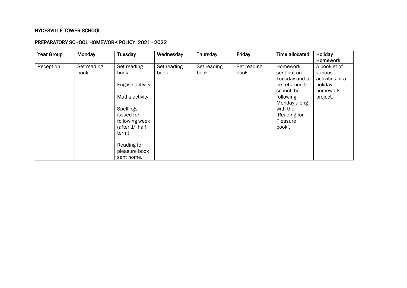## HYDESVILLE TOWER SCHOOL

### PREPARATORY SCHOOL HOMEWORK POLICY 2021 - 2022

| Year Group | Monday              | Tuesday                                                                                                                              | Wednesday           | Thursday            | Friday              | Time allocated                                                                                                                                           | Holiday<br>Homework                                                           |
|------------|---------------------|--------------------------------------------------------------------------------------------------------------------------------------|---------------------|---------------------|---------------------|----------------------------------------------------------------------------------------------------------------------------------------------------------|-------------------------------------------------------------------------------|
| Reception  | Set reading<br>book | Set reading<br>book<br>English activity<br>Maths activity<br>Spellings<br>issued for<br>following week<br>(after $1st$ half<br>term) | Set reading<br>book | Set reading<br>book | Set reading<br>book | Homework<br>sent out on<br>Tuesday and to<br>be returned to<br>school the<br>following<br>Monday along<br>with the<br>'Reading for<br>Pleasure<br>book'. | A booklet of<br>various<br>activities or a<br>holiday<br>homework<br>project. |
|            |                     | Reading for<br>pleasure book<br>sent home.                                                                                           |                     |                     |                     |                                                                                                                                                          |                                                                               |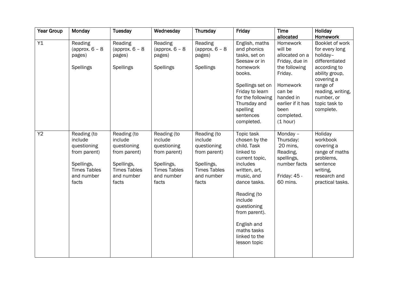| <b>Year Group</b> | Monday                                                                                                            | <b>Tuesday</b>                                                                                                    | Wednesday                                                                                                         | Thursday                                                                                                          | Friday                                                                                                                                                                                                                                                        | <b>Time</b>                                                                                                                                                                   | Holiday                                                                                                                                                                                      |
|-------------------|-------------------------------------------------------------------------------------------------------------------|-------------------------------------------------------------------------------------------------------------------|-------------------------------------------------------------------------------------------------------------------|-------------------------------------------------------------------------------------------------------------------|---------------------------------------------------------------------------------------------------------------------------------------------------------------------------------------------------------------------------------------------------------------|-------------------------------------------------------------------------------------------------------------------------------------------------------------------------------|----------------------------------------------------------------------------------------------------------------------------------------------------------------------------------------------|
|                   |                                                                                                                   |                                                                                                                   |                                                                                                                   |                                                                                                                   |                                                                                                                                                                                                                                                               | allocated                                                                                                                                                                     | Homework                                                                                                                                                                                     |
| Y1                | Reading<br>(approx. $6 - 8$<br>pages)<br><b>Spellings</b>                                                         | Reading<br>(approx. $6 - 8$<br>pages)<br>Spellings                                                                | Reading<br>(approx. $6 - 8$<br>pages)<br><b>Spellings</b>                                                         | Reading<br>(approx. $6 - 8$<br>pages)<br>Spellings                                                                | English, maths<br>and phonics<br>tasks, set on<br>Seesaw or in<br>homework<br>books.<br>Spellings set on<br>Friday to learn<br>for the following<br>Thursday and<br>spelling<br>sentences<br>completed.                                                       | Homework<br>will be<br>allocated on a<br>Friday, due in<br>the following<br>Friday.<br>Homework<br>can be<br>handed in<br>earlier if it has<br>been<br>completed.<br>(1 hour) | Booklet of work<br>for every long<br>holiday-<br>differentiated<br>according to<br>ability group,<br>covering a<br>range of<br>reading, writing,<br>number, or<br>topic task to<br>complete. |
| Y2                | Reading (to<br>include<br>questioning<br>from parent)<br>Spellings,<br><b>Times Tables</b><br>and number<br>facts | Reading (to<br>include<br>questioning<br>from parent)<br>Spellings,<br><b>Times Tables</b><br>and number<br>facts | Reading (to<br>include<br>questioning<br>from parent)<br>Spellings,<br><b>Times Tables</b><br>and number<br>facts | Reading (to<br>include<br>questioning<br>from parent)<br>Spellings,<br><b>Times Tables</b><br>and number<br>facts | Topic task<br>chosen by the<br>child. Task<br>linked to<br>current topic,<br>includes<br>written, art,<br>music, and<br>dance tasks.<br>Reading (to<br>include<br>questioning<br>from parent).<br>English and<br>maths tasks<br>linked to the<br>lesson topic | Monday -<br>Thursday:<br>20 mins,<br>Reading,<br>spellings,<br>number facts<br>Friday: 45 -<br>60 mins.                                                                       | Holiday<br>workbook<br>covering a<br>range of maths<br>problems,<br>sentence<br>writing,<br>research and<br>practical tasks.                                                                 |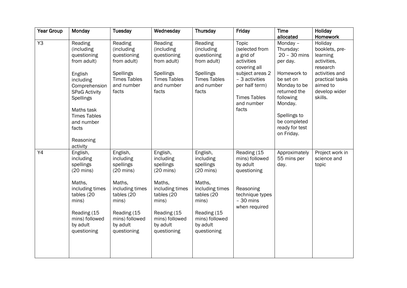| <b>Year Group</b> | Monday                                                                                                                                                                    | <b>Tuesday</b>                                                                                                                                                            | Wednesday                                                                                                                                                                 | Thursday                                                                                                                                                                  | Friday                                                                                                                                                                  | <b>Time</b>                                                                                                                             | Holiday                                                                                                                                       |
|-------------------|---------------------------------------------------------------------------------------------------------------------------------------------------------------------------|---------------------------------------------------------------------------------------------------------------------------------------------------------------------------|---------------------------------------------------------------------------------------------------------------------------------------------------------------------------|---------------------------------------------------------------------------------------------------------------------------------------------------------------------------|-------------------------------------------------------------------------------------------------------------------------------------------------------------------------|-----------------------------------------------------------------------------------------------------------------------------------------|-----------------------------------------------------------------------------------------------------------------------------------------------|
|                   |                                                                                                                                                                           |                                                                                                                                                                           |                                                                                                                                                                           |                                                                                                                                                                           |                                                                                                                                                                         | allocated                                                                                                                               | Homework                                                                                                                                      |
| Y3                | Reading<br>(including<br>questioning<br>from adult)<br>English<br>including<br>Comprehension<br><b>SPaG Activity</b><br><b>Spellings</b><br>Maths task                    | Reading<br>(including<br>questioning<br>from adult)<br>Spellings<br><b>Times Tables</b><br>and number<br>facts                                                            | Reading<br>(including<br>questioning<br>from adult)<br>Spellings<br><b>Times Tables</b><br>and number<br>facts                                                            | Reading<br>(including<br>questioning<br>from adult)<br>Spellings<br><b>Times Tables</b><br>and number<br>facts                                                            | Topic<br>(selected from<br>a grid of<br>activities<br>covering all<br>subject areas 2<br>- 3 activities<br>per half term)<br><b>Times Tables</b><br>and number<br>facts | Monday -<br>Thursday:<br>$20 - 30$ mins<br>per day.<br>Homework to<br>be set on<br>Monday to be<br>returned the<br>following<br>Monday. | Holiday<br>booklets, pre-<br>learning<br>activities,<br>research<br>activities and<br>practical tasks<br>aimed to<br>develop wider<br>skills. |
|                   | <b>Times Tables</b><br>and number<br>facts<br>Reasoning<br>activity                                                                                                       |                                                                                                                                                                           |                                                                                                                                                                           |                                                                                                                                                                           |                                                                                                                                                                         | Spellings to<br>be completed<br>ready for test<br>on Friday.                                                                            |                                                                                                                                               |
| Y4                | English,<br>including<br>spellings<br>$(20 \text{ mins})$<br>Maths,<br>including times<br>tables (20<br>mins)<br>Reading (15<br>mins) followed<br>by adult<br>questioning | English,<br>including<br>spellings<br>$(20 \text{ mins})$<br>Maths,<br>including times<br>tables (20<br>mins)<br>Reading (15<br>mins) followed<br>by adult<br>questioning | English,<br>including<br>spellings<br>$(20 \text{ mins})$<br>Maths,<br>including times<br>tables (20<br>mins)<br>Reading (15<br>mins) followed<br>by adult<br>questioning | English,<br>including<br>spellings<br>$(20 \text{ mins})$<br>Maths,<br>including times<br>tables (20<br>mins)<br>Reading (15<br>mins) followed<br>by adult<br>questioning | Reading (15<br>mins) followed<br>by adult<br>questioning<br>Reasoning<br>technique types<br>$-30$ mins<br>when required                                                 | Approximately<br>55 mins per<br>day.                                                                                                    | Project work in<br>science and<br>topic                                                                                                       |